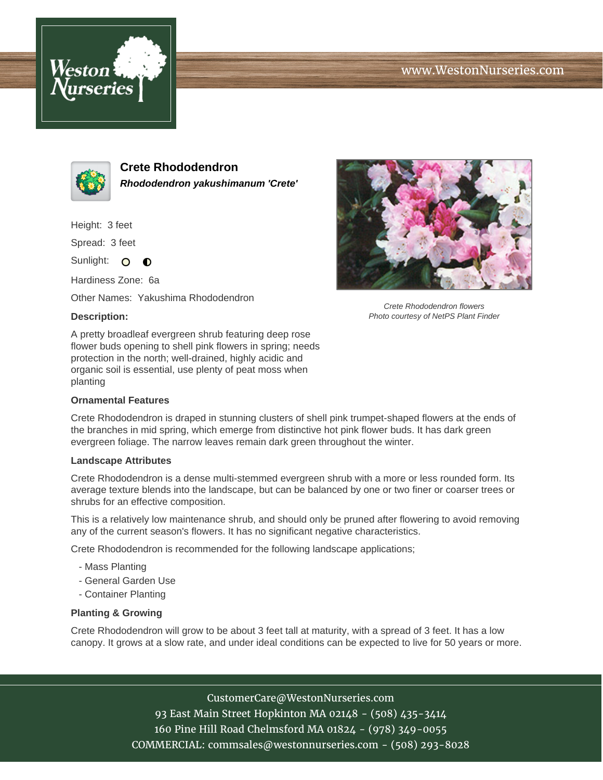





**Crete Rhododendron Rhododendron yakushimanum 'Crete'**

Height: 3 feet

Spread: 3 feet

Sunlight: O  $\bullet$ 

Hardiness Zone: 6a

Other Names: Yakushima Rhododendron

## **Description:**

A pretty broadleaf evergreen shrub featuring deep rose flower buds opening to shell pink flowers in spring; needs protection in the north; well-drained, highly acidic and organic soil is essential, use plenty of peat moss when planting

## **Ornamental Features**

Crete Rhododendron is draped in stunning clusters of shell pink trumpet-shaped flowers at the ends of the branches in mid spring, which emerge from distinctive hot pink flower buds. It has dark green evergreen foliage. The narrow leaves remain dark green throughout the winter.

## **Landscape Attributes**

Crete Rhododendron is a dense multi-stemmed evergreen shrub with a more or less rounded form. Its average texture blends into the landscape, but can be balanced by one or two finer or coarser trees or shrubs for an effective composition.

This is a relatively low maintenance shrub, and should only be pruned after flowering to avoid removing any of the current season's flowers. It has no significant negative characteristics.

Crete Rhododendron is recommended for the following landscape applications;

- Mass Planting
- General Garden Use
- Container Planting

## **Planting & Growing**

Crete Rhododendron will grow to be about 3 feet tall at maturity, with a spread of 3 feet. It has a low canopy. It grows at a slow rate, and under ideal conditions can be expected to live for 50 years or more.

CustomerCare@WestonNurseries.com

93 East Main Street Hopkinton MA 02148 - (508) 435-3414 160 Pine Hill Road Chelmsford MA 01824 - (978) 349-0055 COMMERCIAL: commsales@westonnurseries.com - (508) 293-8028



Crete Rhododendron flowers Photo courtesy of NetPS Plant Finder